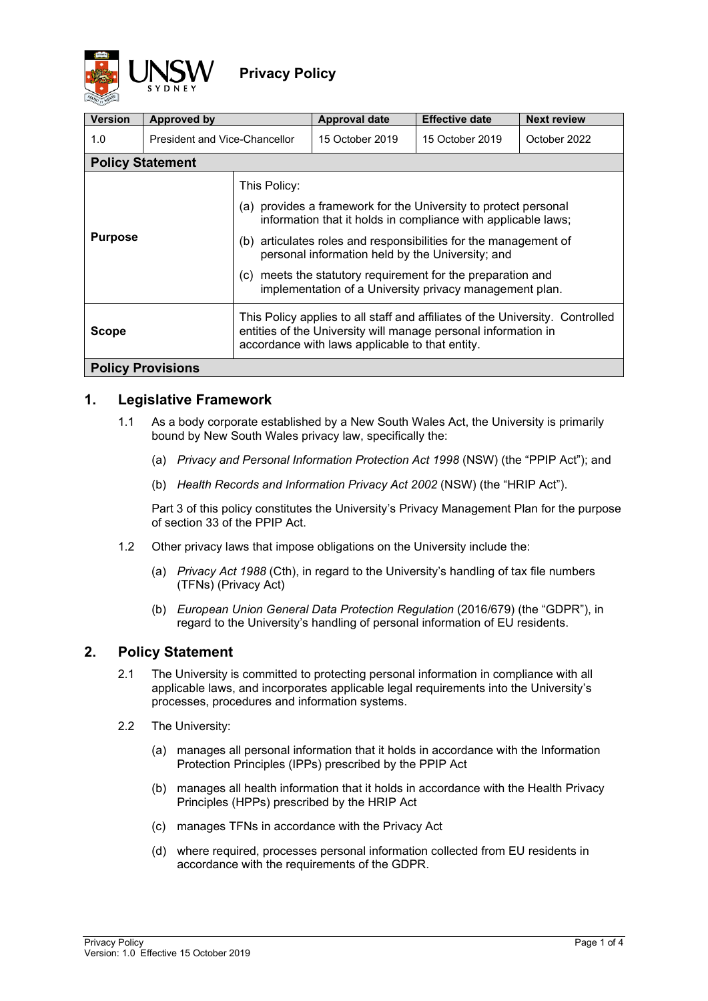

| <b>Version</b>                                                                                                                                                                                                     | Approved by                   |                                                                                                                                                                                                                                                                                                                                                                                                          | <b>Approval date</b> | <b>Effective date</b> | <b>Next review</b> |  |  |  |  |
|--------------------------------------------------------------------------------------------------------------------------------------------------------------------------------------------------------------------|-------------------------------|----------------------------------------------------------------------------------------------------------------------------------------------------------------------------------------------------------------------------------------------------------------------------------------------------------------------------------------------------------------------------------------------------------|----------------------|-----------------------|--------------------|--|--|--|--|
| 1.0                                                                                                                                                                                                                | President and Vice-Chancellor |                                                                                                                                                                                                                                                                                                                                                                                                          | 15 October 2019      | 15 October 2019       | October 2022       |  |  |  |  |
| <b>Policy Statement</b>                                                                                                                                                                                            |                               |                                                                                                                                                                                                                                                                                                                                                                                                          |                      |                       |                    |  |  |  |  |
| <b>Purpose</b>                                                                                                                                                                                                     |                               | This Policy:<br>(a) provides a framework for the University to protect personal<br>information that it holds in compliance with applicable laws;<br>articulates roles and responsibilities for the management of<br>(b)<br>personal information held by the University; and<br>meets the statutory requirement for the preparation and<br>(C)<br>implementation of a University privacy management plan. |                      |                       |                    |  |  |  |  |
| This Policy applies to all staff and affiliates of the University. Controlled<br>entities of the University will manage personal information in<br><b>Scope</b><br>accordance with laws applicable to that entity. |                               |                                                                                                                                                                                                                                                                                                                                                                                                          |                      |                       |                    |  |  |  |  |
| <b>Policy Provisions</b>                                                                                                                                                                                           |                               |                                                                                                                                                                                                                                                                                                                                                                                                          |                      |                       |                    |  |  |  |  |

## **1. Legislative Framework**

- 1.1 As a body corporate established by a New South Wales Act, the University is primarily bound by New South Wales privacy law, specifically the:
	- (a) *Privacy and Personal Information Protection Act 1998* (NSW) (the "PPIP Act"); and
	- (b) *Health Records and Information Privacy Act 2002* (NSW) (the "HRIP Act").

Part 3 of this policy constitutes the University's Privacy Management Plan for the purpose of section 33 of the PPIP Act.

- 1.2 Other privacy laws that impose obligations on the University include the:
	- (a) *Privacy Act 1988* (Cth), in regard to the University's handling of tax file numbers (TFNs) (Privacy Act)
	- (b) *European Union General Data Protection Regulation* (2016/679) (the "GDPR"), in regard to the University's handling of personal information of EU residents.

## **2. Policy Statement**

- 2.1 The University is committed to protecting personal information in compliance with all applicable laws, and incorporates applicable legal requirements into the University's processes, procedures and information systems.
- 2.2 The University:
	- (a) manages all personal information that it holds in accordance with the Information Protection Principles (IPPs) prescribed by the PPIP Act
	- (b) manages all health information that it holds in accordance with the Health Privacy Principles (HPPs) prescribed by the HRIP Act
	- (c) manages TFNs in accordance with the Privacy Act
	- (d) where required, processes personal information collected from EU residents in accordance with the requirements of the GDPR.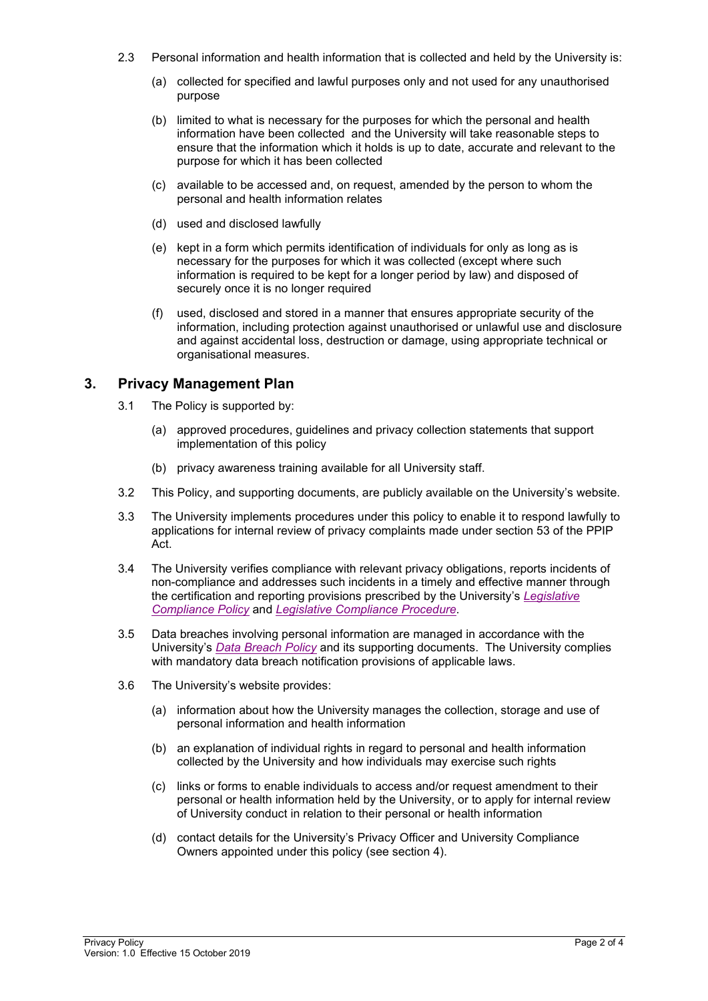- 2.3 Personal information and health information that is collected and held by the University is:
	- (a) collected for specified and lawful purposes only and not used for any unauthorised purpose
	- (b) limited to what is necessary for the purposes for which the personal and health information have been collected and the University will take reasonable steps to ensure that the information which it holds is up to date, accurate and relevant to the purpose for which it has been collected
	- (c) available to be accessed and, on request, amended by the person to whom the personal and health information relates
	- (d) used and disclosed lawfully
	- (e) kept in a form which permits identification of individuals for only as long as is necessary for the purposes for which it was collected (except where such information is required to be kept for a longer period by law) and disposed of securely once it is no longer required
	- (f) used, disclosed and stored in a manner that ensures appropriate security of the information, including protection against unauthorised or unlawful use and disclosure and against accidental loss, destruction or damage, using appropriate technical or organisational measures.

## **3. Privacy Management Plan**

- 3.1 The Policy is supported by:
	- (a) approved procedures, guidelines and privacy collection statements that support implementation of this policy
	- (b) privacy awareness training available for all University staff.
- 3.2 This Policy, and supporting documents, are publicly available on the University's website.
- 3.3 The University implements procedures under this policy to enable it to respond lawfully to applications for internal review of privacy complaints made under section 53 of the PPIP Act.
- 3.4 The University verifies compliance with relevant privacy obligations, reports incidents of non-compliance and addresses such incidents in a timely and effective manner through the certification and reporting provisions prescribed by the University's *[Legislative](https://www.gs.unsw.edu.au/policy/legislativecompliancepolicy.html)  [Compliance Policy](https://www.gs.unsw.edu.au/policy/legislativecompliancepolicy.html)* and *[Legislative Compliance Procedure](https://www.gs.unsw.edu.au/policy/legislativecomplianceprocedure.html)*.
- 3.5 Data breaches involving personal information are managed in accordance with the University's *[Data Breach Policy](https://www.gs.unsw.edu.au/policy/databreachpolicy.html)* and its supporting documents. The University complies with mandatory data breach notification provisions of applicable laws.
- 3.6 The University's website provides:
	- (a) information about how the University manages the collection, storage and use of personal information and health information
	- (b) an explanation of individual rights in regard to personal and health information collected by the University and how individuals may exercise such rights
	- (c) links or forms to enable individuals to access and/or request amendment to their personal or health information held by the University, or to apply for internal review of University conduct in relation to their personal or health information
	- (d) contact details for the University's Privacy Officer and University Compliance Owners appointed under this policy (see section 4).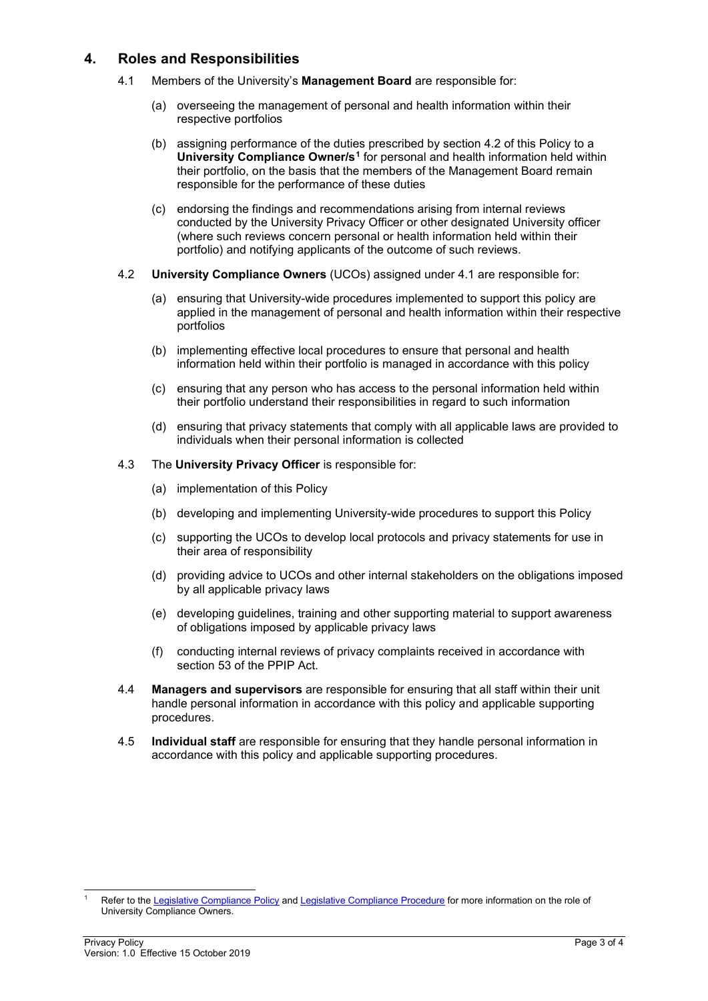## **4. Roles and Responsibilities**

- 4.1 Members of the University's **Management Board** are responsible for:
	- (a) overseeing the management of personal and health information within their respective portfolios
	- (b) assigning performance of the duties prescribed by section 4.2 of this Policy to a **University Compliance Owner/s[1](#page-2-0)** for personal and health information held within their portfolio, on the basis that the members of the Management Board remain responsible for the performance of these duties
	- (c) endorsing the findings and recommendations arising from internal reviews conducted by the University Privacy Officer or other designated University officer (where such reviews concern personal or health information held within their portfolio) and notifying applicants of the outcome of such reviews.
- 4.2 **University Compliance Owners** (UCOs) assigned under 4.1 are responsible for:
	- (a) ensuring that University-wide procedures implemented to support this policy are applied in the management of personal and health information within their respective portfolios
	- (b) implementing effective local procedures to ensure that personal and health information held within their portfolio is managed in accordance with this policy
	- (c) ensuring that any person who has access to the personal information held within their portfolio understand their responsibilities in regard to such information
	- (d) ensuring that privacy statements that comply with all applicable laws are provided to individuals when their personal information is collected
- 4.3 The **University Privacy Officer** is responsible for:
	- (a) implementation of this Policy
	- (b) developing and implementing University-wide procedures to support this Policy
	- (c) supporting the UCOs to develop local protocols and privacy statements for use in their area of responsibility
	- (d) providing advice to UCOs and other internal stakeholders on the obligations imposed by all applicable privacy laws
	- (e) developing guidelines, training and other supporting material to support awareness of obligations imposed by applicable privacy laws
	- (f) conducting internal reviews of privacy complaints received in accordance with section 53 of the PPIP Act.
- 4.4 **Managers and supervisors** are responsible for ensuring that all staff within their unit handle personal information in accordance with this policy and applicable supporting procedures.
- 4.5 **Individual staff** are responsible for ensuring that they handle personal information in accordance with this policy and applicable supporting procedures.

<span id="page-2-0"></span>Refer to the [Legislative Compliance Policy](https://www.gs.unsw.edu.au/policy/legislativecompliancepolicy.html) an[d Legislative Compliance Procedure](https://www.gs.unsw.edu.au/policy/legislativecomplianceprocedure.html) for more information on the role of University Compliance Owners.